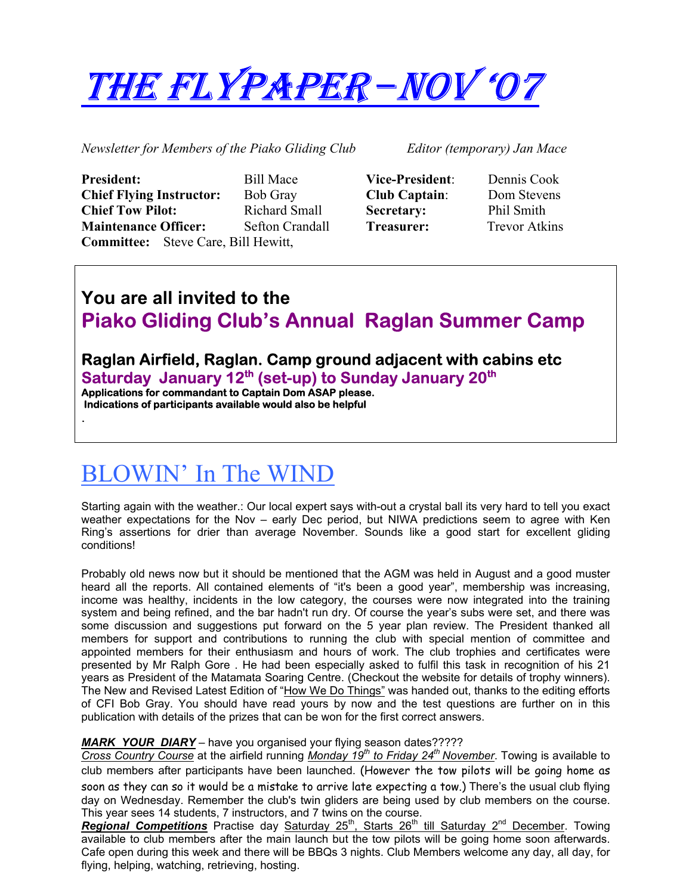# THE FLYPAPER – NOV '07

*Newsletter for Members of the Piako Gliding Club Editor (temporary) Jan Mace* 

| <b>President:</b>                          | <b>Bill Mace</b>       |
|--------------------------------------------|------------------------|
| <b>Chief Flying Instructor:</b>            | <b>Bob Gray</b>        |
| <b>Chief Tow Pilot:</b>                    | Richard Small          |
| <b>Maintenance Officer:</b>                | <b>Sefton Crandall</b> |
| <b>Committee:</b> Steve Care, Bill Hewitt, |                        |

| <b>Vice-President</b> |
|-----------------------|
| <b>Club Captain:</b>  |
| Secretary:            |
| Treasurer:            |

**President:** Bill Mace **Vice-President**: Dennis Cook **Dom Stevens Phil Smith Trevor Atkins** 

## **You are all invited to the Piako Gliding Club's Annual Raglan Summer Camp**

# **Raglan Airfield, Raglan. Camp ground adjacent with cabins etc**  Saturday January 12<sup>th</sup> (set-up) to Sunday January 20<sup>th</sup> Applications for commandant to Captain Dom ASAP please.

 **Indications of participants available would also be helpful** 

# BLOWIN' In The WIND

.

Starting again with the weather.: Our local expert says with-out a crystal ball its very hard to tell you exact weather expectations for the Nov – early Dec period, but NIWA predictions seem to agree with Ken Ring's assertions for drier than average November. Sounds like a good start for excellent gliding conditions!

Probably old news now but it should be mentioned that the AGM was held in August and a good muster heard all the reports. All contained elements of "it's been a good year", membership was increasing, income was healthy, incidents in the low category, the courses were now integrated into the training system and being refined, and the bar hadn't run dry. Of course the year's subs were set, and there was some discussion and suggestions put forward on the 5 year plan review. The President thanked all members for support and contributions to running the club with special mention of committee and appointed members for their enthusiasm and hours of work. The club trophies and certificates were presented by Mr Ralph Gore . He had been especially asked to fulfil this task in recognition of his 21 years as President of the Matamata Soaring Centre. (Checkout the website for details of trophy winners). The New and Revised Latest Edition of "How We Do Things" was handed out, thanks to the editing efforts of CFI Bob Gray. You should have read yours by now and the test questions are further on in this publication with details of the prizes that can be won for the first correct answers.

#### *MARK YOUR DIARY* – have you organised your flying season dates?????

*Cross Country Course* at the airfield running *Monday 19<sup>th</sup> to Friday 24<sup>th</sup> November*. Towing is available to club members after participants have been launched. (However the tow pilots will be going home as soon as they can so it would be a mistake to arrive late expecting a tow.) There's the usual club flying day on Wednesday. Remember the club's twin gliders are being used by club members on the course. This year sees 14 students, 7 instructors, and 7 twins on the course.

Regional Competitions Practise day Saturday 25<sup>th</sup>, Starts 26<sup>th</sup> till Saturday 2<sup>nd</sup> December. Towing available to club members after the main launch but the tow pilots will be going home soon afterwards. Cafe open during this week and there will be BBQs 3 nights. Club Members welcome any day, all day, for flying, helping, watching, retrieving, hosting.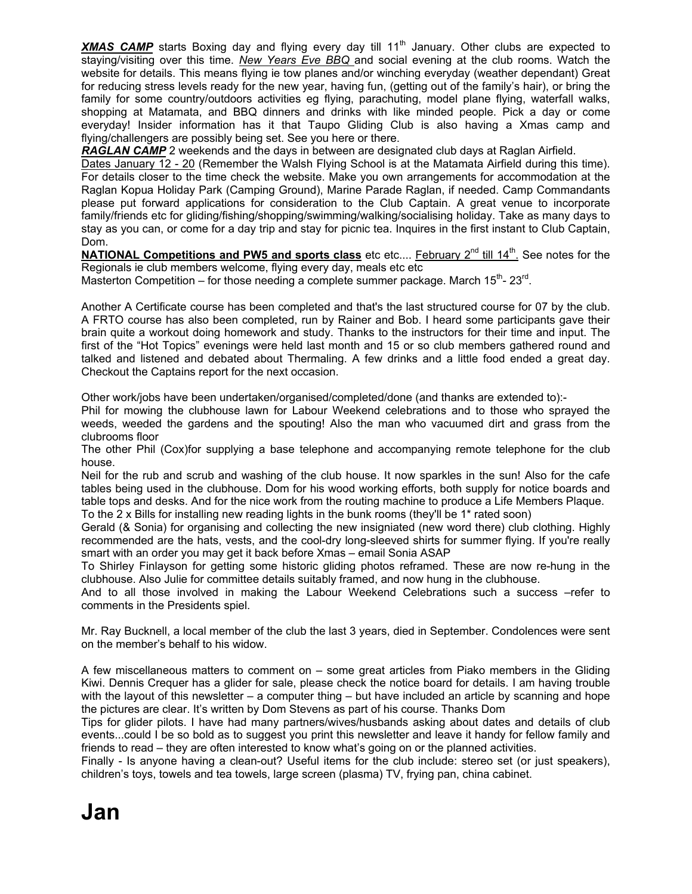**XMAS CAMP** starts Boxing day and flying every day till 11<sup>th</sup> January. Other clubs are expected to staying/visiting over this time. *New Years Eve BBQ* and social evening at the club rooms. Watch the website for details. This means flying ie tow planes and/or winching everyday (weather dependant) Great for reducing stress levels ready for the new year, having fun, (getting out of the family's hair), or bring the family for some country/outdoors activities eg flying, parachuting, model plane flying, waterfall walks, shopping at Matamata, and BBQ dinners and drinks with like minded people. Pick a day or come everyday! Insider information has it that Taupo Gliding Club is also having a Xmas camp and flying/challengers are possibly being set. See you here or there.

**RAGLAN CAMP** 2 weekends and the days in between are designated club days at Raglan Airfield.

Dates January 12 - 20 (Remember the Walsh Flying School is at the Matamata Airfield during this time). For details closer to the time check the website. Make you own arrangements for accommodation at the Raglan Kopua Holiday Park (Camping Ground), Marine Parade Raglan, if needed. Camp Commandants please put forward applications for consideration to the Club Captain. A great venue to incorporate family/friends etc for gliding/fishing/shopping/swimming/walking/socialising holiday. Take as many days to stay as you can, or come for a day trip and stay for picnic tea. Inquires in the first instant to Club Captain, Dom.

**NATIONAL Competitions and PW5 and sports class** etc etc.... February 2<sup>nd</sup> till 14<sup>th</sup>. See notes for the Regionals ie club members welcome, flying every day, meals etc etc

Masterton Competition – for those needing a complete summer package. March  $15<sup>th</sup>$ -  $23<sup>rd</sup>$ .

Another A Certificate course has been completed and that's the last structured course for 07 by the club. A FRTO course has also been completed, run by Rainer and Bob. I heard some participants gave their brain quite a workout doing homework and study. Thanks to the instructors for their time and input. The first of the "Hot Topics" evenings were held last month and 15 or so club members gathered round and talked and listened and debated about Thermaling. A few drinks and a little food ended a great day. Checkout the Captains report for the next occasion.

Other work/jobs have been undertaken/organised/completed/done (and thanks are extended to):-

Phil for mowing the clubhouse lawn for Labour Weekend celebrations and to those who sprayed the weeds, weeded the gardens and the spouting! Also the man who vacuumed dirt and grass from the clubrooms floor

The other Phil (Cox)for supplying a base telephone and accompanying remote telephone for the club house.

Neil for the rub and scrub and washing of the club house. It now sparkles in the sun! Also for the cafe tables being used in the clubhouse. Dom for his wood working efforts, both supply for notice boards and table tops and desks. And for the nice work from the routing machine to produce a Life Members Plaque. To the 2 x Bills for installing new reading lights in the bunk rooms (they'll be 1\* rated soon)

Gerald (& Sonia) for organising and collecting the new insigniated (new word there) club clothing. Highly recommended are the hats, vests, and the cool-dry long-sleeved shirts for summer flying. If you're really smart with an order you may get it back before Xmas – email Sonia ASAP

To Shirley Finlayson for getting some historic gliding photos reframed. These are now re-hung in the clubhouse. Also Julie for committee details suitably framed, and now hung in the clubhouse.

And to all those involved in making the Labour Weekend Celebrations such a success –refer to comments in the Presidents spiel.

Mr. Ray Bucknell, a local member of the club the last 3 years, died in September. Condolences were sent on the member's behalf to his widow.

A few miscellaneous matters to comment on – some great articles from Piako members in the Gliding Kiwi. Dennis Crequer has a glider for sale, please check the notice board for details. I am having trouble with the layout of this newsletter  $-$  a computer thing  $-$  but have included an article by scanning and hope the pictures are clear. It's written by Dom Stevens as part of his course. Thanks Dom

Tips for glider pilots. I have had many partners/wives/husbands asking about dates and details of club events...could I be so bold as to suggest you print this newsletter and leave it handy for fellow family and friends to read – they are often interested to know what's going on or the planned activities.

Finally - Is anyone having a clean-out? Useful items for the club include: stereo set (or just speakers), children's toys, towels and tea towels, large screen (plasma) TV, frying pan, china cabinet.

# **Jan**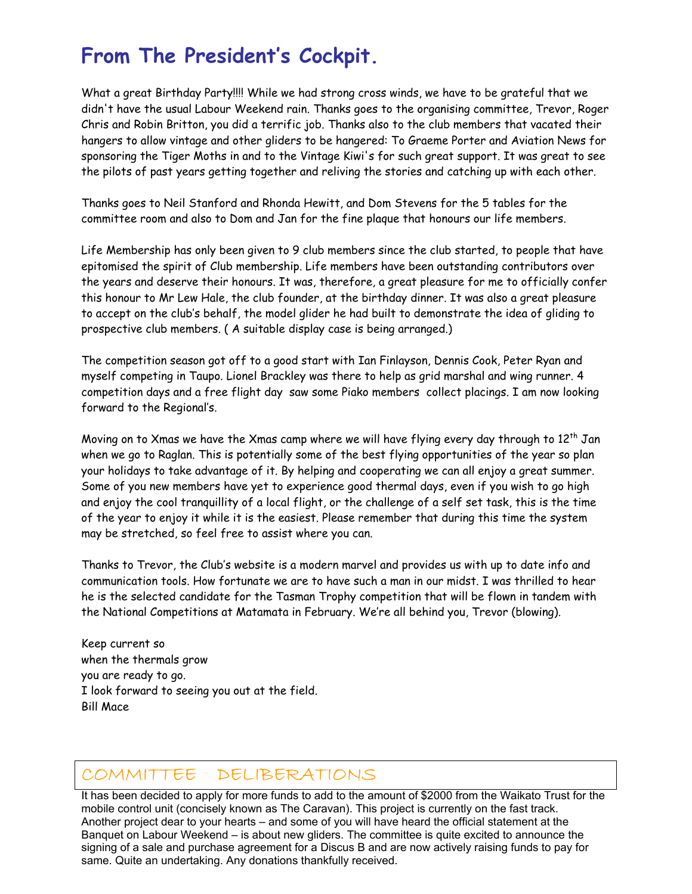# **From The President's Cockpit.**

What a great Birthday Party!!!! While we had strong cross winds, we have to be grateful that we didn't have the usual Labour Weekend rain. Thanks goes to the organising committee, Trevor, Roger Chris and Robin Britton, you did a terrific job. Thanks also to the club members that vacated their hangers to allow vintage and other gliders to be hangered: To Graeme Porter and Aviation News for sponsoring the Tiger Moths in and to the Vintage Kiwi's for such great support. It was great to see the pilots of past years getting together and reliving the stories and catching up with each other.

Thanks goes to Neil Stanford and Rhonda Hewitt, and Dom Stevens for the 5 tables for the committee room and also to Dom and Jan for the fine plaque that honours our life members.

Life Membership has only been given to 9 club members since the club started, to people that have epitomised the spirit of Club membership. Life members have been outstanding contributors over the years and deserve their honours. It was, therefore, a great pleasure for me to officially confer this honour to Mr Lew Hale, the club founder, at the birthday dinner. It was also a great pleasure to accept on the club's behalf, the model glider he had built to demonstrate the idea of gliding to prospective club members. ( A suitable display case is being arranged.)

The competition season got off to a good start with Ian Finlayson, Dennis Cook, Peter Ryan and myself competing in Taupo. Lionel Brackley was there to help as grid marshal and wing runner. 4 competition days and a free flight day saw some Piako members collect placings. I am now looking forward to the Regional's.

Moving on to Xmas we have the Xmas camp where we will have flying every day through to  $12<sup>th</sup>$  Jan when we go to Raglan. This is potentially some of the best flying opportunities of the year so plan your holidays to take advantage of it. By helping and cooperating we can all enjoy a great summer. Some of you new members have yet to experience good thermal days, even if you wish to go high and enjoy the cool tranquillity of a local flight, or the challenge of a self set task, this is the time of the year to enjoy it while it is the easiest. Please remember that during this time the system may be stretched, so feel free to assist where you can.

Thanks to Trevor, the Club's website is a modern marvel and provides us with up to date info and communication tools. How fortunate we are to have such a man in our midst. I was thrilled to hear he is the selected candidate for the Tasman Trophy competition that will be flown in tandem with the National Competitions at Matamata in February. We're all behind you, Trevor (blowing).

Keep current so when the thermals grow you are ready to go. I look forward to seeing you out at the field. Bill Mace

### COMMITTEE DELIBERATIONS

It has been decided to apply for more funds to add to the amount of \$2000 from the Waikato Trust for the mobile control unit (concisely known as The Caravan). This project is currently on the fast track. Another project dear to your hearts – and some of you will have heard the official statement at the Banquet on Labour Weekend – is about new gliders. The committee is quite excited to announce the signing of a sale and purchase agreement for a Discus B and are now actively raising funds to pay for same. Quite an undertaking. Any donations thankfully received.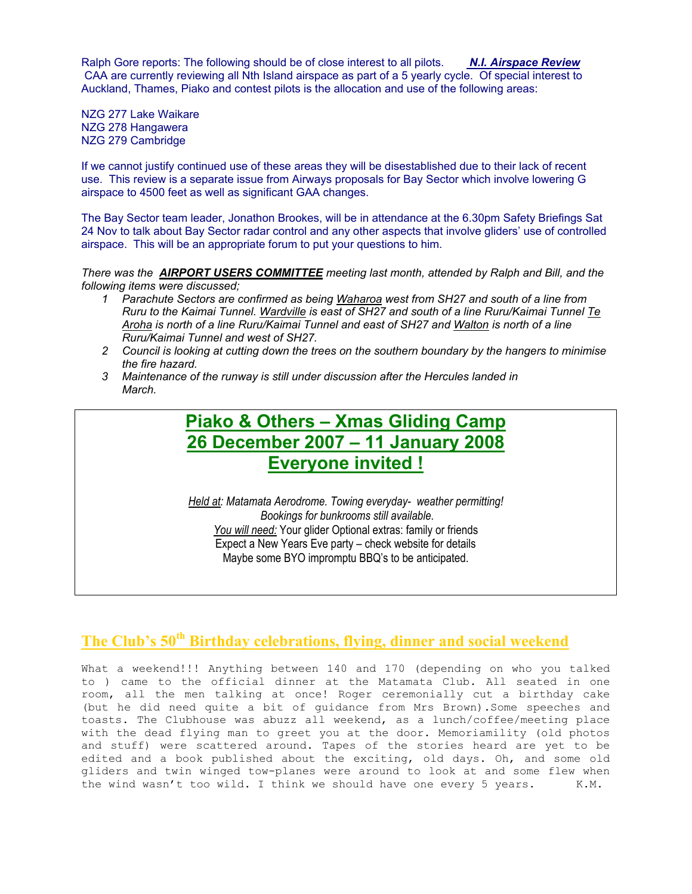Ralph Gore reports: The following should be of close interest to all pilots. *N.I. Airspace Review* CAA are currently reviewing all Nth Island airspace as part of a 5 yearly cycle. Of special interest to Auckland, Thames, Piako and contest pilots is the allocation and use of the following areas:

NZG 277 Lake Waikare NZG 278 Hangawera NZG 279 Cambridge

If we cannot justify continued use of these areas they will be disestablished due to their lack of recent use. This review is a separate issue from Airways proposals for Bay Sector which involve lowering G airspace to 4500 feet as well as significant GAA changes.

The Bay Sector team leader, Jonathon Brookes, will be in attendance at the 6.30pm Safety Briefings Sat 24 Nov to talk about Bay Sector radar control and any other aspects that involve gliders' use of controlled airspace. This will be an appropriate forum to put your questions to him.

*There was the AIRPORT USERS COMMITTEE meeting last month, attended by Ralph and Bill, and the following items were discussed;* 

- *1 Parachute Sectors are confirmed as being Waharoa west from SH27 and south of a line from Ruru to the Kaimai Tunnel. Wardville is east of SH27 and south of a line Ruru/Kaimai Tunnel Te Aroha is north of a line Ruru/Kaimai Tunnel and east of SH27 and Walton is north of a line Ruru/Kaimai Tunnel and west of SH27.*
- *2 Council is looking at cutting down the trees on the southern boundary by the hangers to minimise the fire hazard.*
- *3 Maintenance of the runway is still under discussion after the Hercules landed in March.*

### **Piako & Others – Xmas Gliding Camp 26 December 2007 – 11 January 2008 Everyone invited !**

*Held at: Matamata Aerodrome. Towing everyday- weather permitting! Bookings for bunkrooms still available*. *You will need:* Your glider Optional extras: family or friends Expect a New Years Eve party – check website for details Maybe some BYO impromptu BBQ's to be anticipated.

### **The Club's 50th Birthday celebrations, flying, dinner and social weekend**

What a weekend!!! Anything between 140 and 170 (depending on who you talked to ) came to the official dinner at the Matamata Club. All seated in one room, all the men talking at once! Roger ceremonially cut a birthday cake (but he did need quite a bit of guidance from Mrs Brown).Some speeches and toasts. The Clubhouse was abuzz all weekend, as a lunch/coffee/meeting place with the dead flying man to greet you at the door. Memoriamility (old photos and stuff) were scattered around. Tapes of the stories heard are yet to be edited and a book published about the exciting, old days. Oh, and some old gliders and twin winged tow-planes were around to look at and some flew when the wind wasn't too wild. I think we should have one every 5 years. K.M.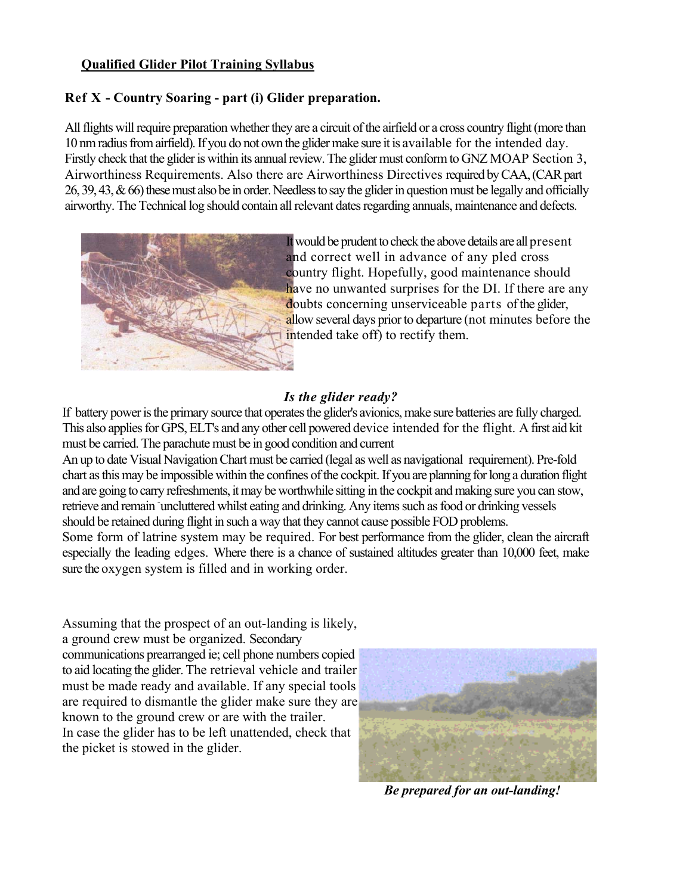#### **Qualified Glider Pilot Training Syllabus**

#### **Ref X - Country Soaring - part (i) Glider preparation.**

All flights will require preparation whether they are a circuit of the airfield or a cross country flight (more than 10 nm radius from airfield). If you do not own the glider make sure it is available for the intended day. Firstly check that the glider is within its annual review. The glider must conform to GNZ MOAP Section 3, Airworthiness Requirements. Also there are Airworthiness Directives required by CAA, (CAR part 26, 39, 43, & 66) these must also be in order. Needless to say the glider in question must be legally and officially airworthy. The Technical log should contain all relevant dates regarding annuals, maintenance and defects.



It would be prudent to check the above details are all present and correct well in advance of any pled cross country flight. Hopefully, good maintenance should have no unwanted surprises for the DI. If there are any doubts concerning unserviceable parts of the glider, allow several days prior to departure (not minutes before the intended take off) to rectify them.

#### *Is the glider ready?*

If battery power is the primary source that operates the glider's avionics, make sure batteries are fully charged. This also applies for GPS, ELT's and any other cell powered device intended for the flight. A first aid kit must be carried. The parachute must be in good condition and current

An up to date Visual Navigation Chart must be carried (legal as well as navigational requirement). Pre-fold chart as this may be impossible within the confines of the cockpit. If you are planning for long a duration flight and are going to carry refreshments, it may be worthwhile sitting in the cockpit and making sure you can stow, retrieve and remain uncluttered whilst eating and drinking. Any items such as food or drinking vessels should be retained during flight in such a way that they cannot cause possible FOD problems. Some form of latrine system may be required. For best performance from the glider, clean the aircraft especially the leading edges. Where there is a chance of sustained altitudes greater than 10,000 feet, make sure the oxygen system is filled and in working order.

Assuming that the prospect of an out-landing is likely, a ground crew must be organized. Secondary communications prearranged ie; cell phone numbers copied to aid locating the glider. The retrieval vehicle and trailer must be made ready and available. If any special tools are required to dismantle the glider make sure they are known to the ground crew or are with the trailer. In case the glider has to be left unattended, check that the picket is stowed in the glider.



*Be prepared for an out-landing!*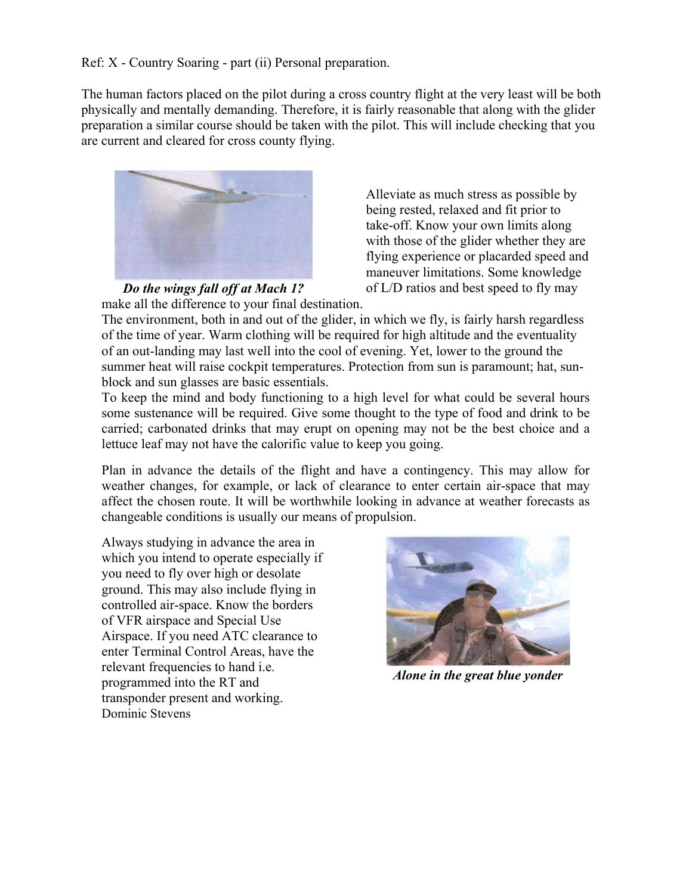The human factors placed on the pilot during a cross country flight at the very least will be both physically and mentally demanding. Therefore, it is fairly reasonable that along with the glider preparation a similar course should be taken with the pilot. This will include checking that you are current and cleared for cross county flying.



Alleviate as much stress as possible by being rested, relaxed and fit prior to take-off. Know your own limits along with those of the glider whether they are flying experience or placarded speed and maneuver limitations. Some knowledge of L/D ratios and best speed to fly may

 *Do the wings fall off at Mach 1?*  make all the difference to your final destination.

The environment, both in and out of the glider, in which we fly, is fairly harsh regardless of the time of year. Warm clothing will be required for high altitude and the eventuality of an out-landing may last well into the cool of evening. Yet, lower to the ground the summer heat will raise cockpit temperatures. Protection from sun is paramount; hat, sunblock and sun glasses are basic essentials.

To keep the mind and body functioning to a high level for what could be several hours some sustenance will be required. Give some thought to the type of food and drink to be carried; carbonated drinks that may erupt on opening may not be the best choice and a lettuce leaf may not have the calorific value to keep you going.

Plan in advance the details of the flight and have a contingency. This may allow for weather changes, for example, or lack of clearance to enter certain air-space that may affect the chosen route. It will be worthwhile looking in advance at weather forecasts as changeable conditions is usually our means of propulsion.

Always studying in advance the area in which you intend to operate especially if you need to fly over high or desolate ground. This may also include flying in controlled air-space. Know the borders of VFR airspace and Special Use Airspace. If you need ATC clearance to enter Terminal Control Areas, have the relevant frequencies to hand i.e. programmed into the RT and transponder present and working. Dominic Stevens



*Alone in the great blue yonder*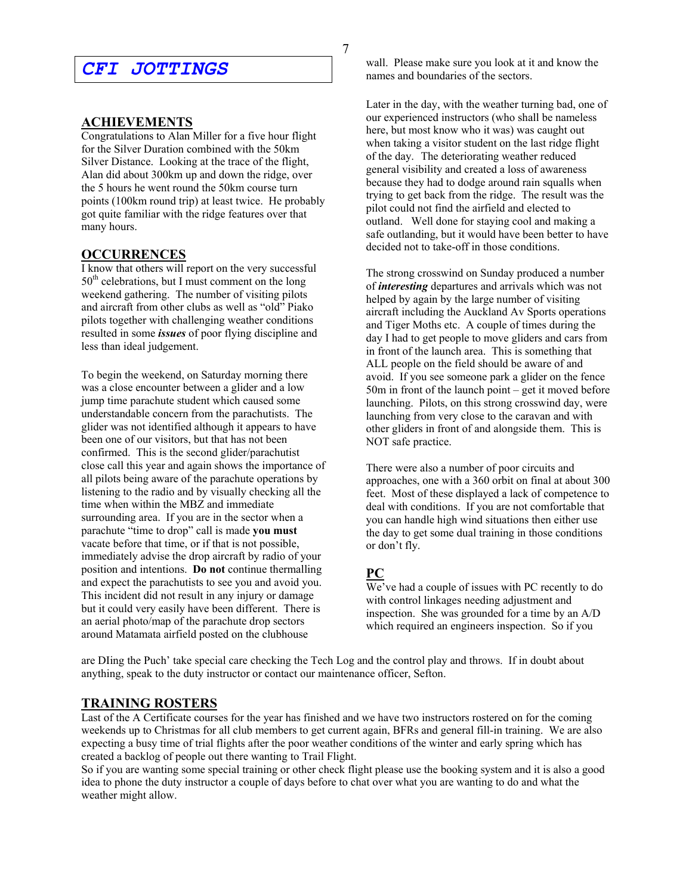### *CFI JOTTINGS*

#### **ACHIEVEMENTS**

Congratulations to Alan Miller for a five hour flight for the Silver Duration combined with the 50km Silver Distance. Looking at the trace of the flight, Alan did about 300km up and down the ridge, over the 5 hours he went round the 50km course turn points (100km round trip) at least twice. He probably got quite familiar with the ridge features over that many hours.

#### **OCCURRENCES**

I know that others will report on the very successful  $50<sup>th</sup>$  celebrations, but I must comment on the long weekend gathering. The number of visiting pilots and aircraft from other clubs as well as "old" Piako pilots together with challenging weather conditions resulted in some *issues* of poor flying discipline and less than ideal judgement.

To begin the weekend, on Saturday morning there was a close encounter between a glider and a low jump time parachute student which caused some understandable concern from the parachutists. The glider was not identified although it appears to have been one of our visitors, but that has not been confirmed. This is the second glider/parachutist close call this year and again shows the importance of all pilots being aware of the parachute operations by listening to the radio and by visually checking all the time when within the MBZ and immediate surrounding area. If you are in the sector when a parachute "time to drop" call is made **you must** vacate before that time, or if that is not possible, immediately advise the drop aircraft by radio of your position and intentions. **Do not** continue thermalling and expect the parachutists to see you and avoid you. This incident did not result in any injury or damage but it could very easily have been different. There is an aerial photo/map of the parachute drop sectors around Matamata airfield posted on the clubhouse

wall. Please make sure you look at it and know the names and boundaries of the sectors.

Later in the day, with the weather turning bad, one of our experienced instructors (who shall be nameless here, but most know who it was) was caught out when taking a visitor student on the last ridge flight of the day. The deteriorating weather reduced general visibility and created a loss of awareness because they had to dodge around rain squalls when trying to get back from the ridge. The result was the pilot could not find the airfield and elected to outland. Well done for staying cool and making a safe outlanding, but it would have been better to have decided not to take-off in those conditions.

The strong crosswind on Sunday produced a number of *interesting* departures and arrivals which was not helped by again by the large number of visiting aircraft including the Auckland Av Sports operations and Tiger Moths etc. A couple of times during the day I had to get people to move gliders and cars from in front of the launch area. This is something that ALL people on the field should be aware of and avoid. If you see someone park a glider on the fence 50m in front of the launch point – get it moved before launching. Pilots, on this strong crosswind day, were launching from very close to the caravan and with other gliders in front of and alongside them. This is NOT safe practice.

There were also a number of poor circuits and approaches, one with a 360 orbit on final at about 300 feet. Most of these displayed a lack of competence to deal with conditions. If you are not comfortable that you can handle high wind situations then either use the day to get some dual training in those conditions or don't fly.

#### **PC**

We've had a couple of issues with PC recently to do with control linkages needing adjustment and inspection. She was grounded for a time by an A/D which required an engineers inspection. So if you

are DIing the Puch' take special care checking the Tech Log and the control play and throws. If in doubt about anything, speak to the duty instructor or contact our maintenance officer, Sefton.

#### **TRAINING ROSTERS**

Last of the A Certificate courses for the year has finished and we have two instructors rostered on for the coming weekends up to Christmas for all club members to get current again, BFRs and general fill-in training. We are also expecting a busy time of trial flights after the poor weather conditions of the winter and early spring which has created a backlog of people out there wanting to Trail Flight.

So if you are wanting some special training or other check flight please use the booking system and it is also a good idea to phone the duty instructor a couple of days before to chat over what you are wanting to do and what the weather might allow.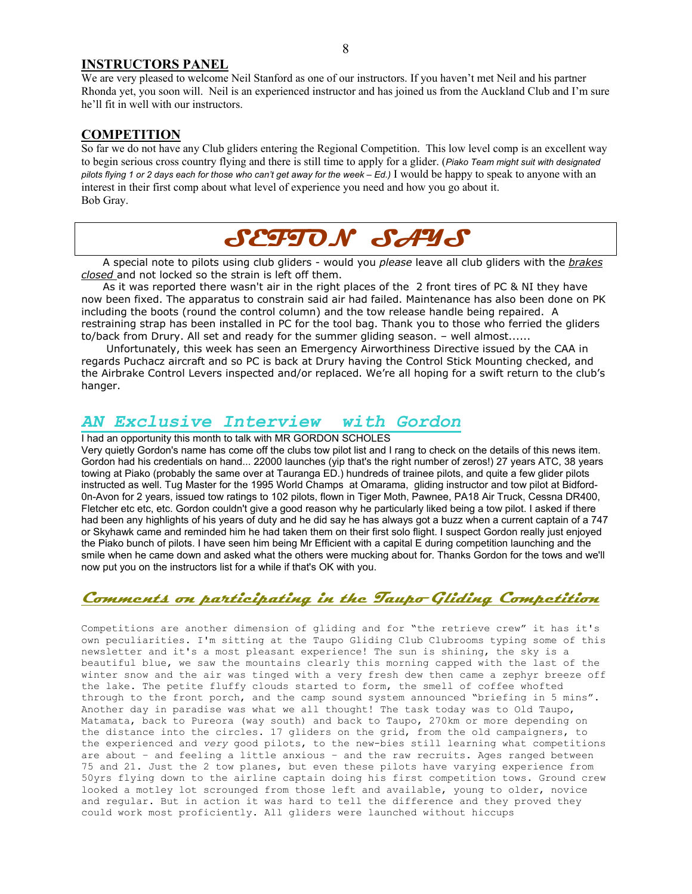#### **INSTRUCTORS PANEL**

We are very pleased to welcome Neil Stanford as one of our instructors. If you haven't met Neil and his partner Rhonda yet, you soon will. Neil is an experienced instructor and has joined us from the Auckland Club and I'm sure he'll fit in well with our instructors.

#### **COMPETITION**

So far we do not have any Club gliders entering the Regional Competition. This low level comp is an excellent way to begin serious cross country flying and there is still time to apply for a glider. (*Piako Team might suit with designated pilots flying 1 or 2 days each for those who can't get away for the week – Ed.)* I would be happy to speak to anyone with an interest in their first comp about what level of experience you need and how you go about it. Bob Gray.

# **SEFTON SAYS**

 A special note to pilots using club gliders - would you *please* leave all club gliders with the *brakes closed* and not locked so the strain is left off them.

 As it was reported there wasn't air in the right places of the 2 front tires of PC & NI they have now been fixed. The apparatus to constrain said air had failed. Maintenance has also been done on PK including the boots (round the control column) and the tow release handle being repaired. A restraining strap has been installed in PC for the tool bag. Thank you to those who ferried the gliders to/back from Drury. All set and ready for the summer gliding season. – well almost......

 Unfortunately, this week has seen an Emergency Airworthiness Directive issued by the CAA in regards Puchacz aircraft and so PC is back at Drury having the Control Stick Mounting checked, and the Airbrake Control Levers inspected and/or replaced. We're all hoping for a swift return to the club's hanger.

#### *AN Exclusive Interview with Gordon*

I had an opportunity this month to talk with MR GORDON SCHOLES

Very quietly Gordon's name has come off the clubs tow pilot list and I rang to check on the details of this news item. Gordon had his credentials on hand... 22000 launches (yip that's the right number of zeros!) 27 years ATC, 38 years towing at Piako (probably the same over at Tauranga ED.) hundreds of trainee pilots, and quite a few glider pilots instructed as well. Tug Master for the 1995 World Champs at Omarama, gliding instructor and tow pilot at Bidford-0n-Avon for 2 years, issued tow ratings to 102 pilots, flown in Tiger Moth, Pawnee, PA18 Air Truck, Cessna DR400, Fletcher etc etc, etc. Gordon couldn't give a good reason why he particularly liked being a tow pilot. I asked if there had been any highlights of his years of duty and he did say he has always got a buzz when a current captain of a 747 or Skyhawk came and reminded him he had taken them on their first solo flight. I suspect Gordon really just enjoyed the Piako bunch of pilots. I have seen him being Mr Efficient with a capital E during competition launching and the smile when he came down and asked what the others were mucking about for. Thanks Gordon for the tows and we'll now put you on the instructors list for a while if that's OK with you.

### **Comments on participating in the Taupo Gliding Competition**

Competitions are another dimension of gliding and for "the retrieve crew" it has it's own peculiarities. I'm sitting at the Taupo Gliding Club Clubrooms typing some of this newsletter and it's a most pleasant experience! The sun is shining, the sky is a beautiful blue, we saw the mountains clearly this morning capped with the last of the winter snow and the air was tinged with a very fresh dew then came a zephyr breeze off the lake. The petite fluffy clouds started to form, the smell of coffee whofted through to the front porch, and the camp sound system announced "briefing in 5 mins". Another day in paradise was what we all thought! The task today was to Old Taupo, Matamata, back to Pureora (way south) and back to Taupo, 270km or more depending on the distance into the circles. 17 gliders on the grid, from the old campaigners, to the experienced and *very* good pilots, to the new-bies still learning what competitions are about – and feeling a little anxious – and the raw recruits. Ages ranged between 75 and 21. Just the 2 tow planes, but even these pilots have varying experience from 50yrs flying down to the airline captain doing his first competition tows. Ground crew looked a motley lot scrounged from those left and available, young to older, novice and regular. But in action it was hard to tell the difference and they proved they could work most proficiently. All gliders were launched without hiccups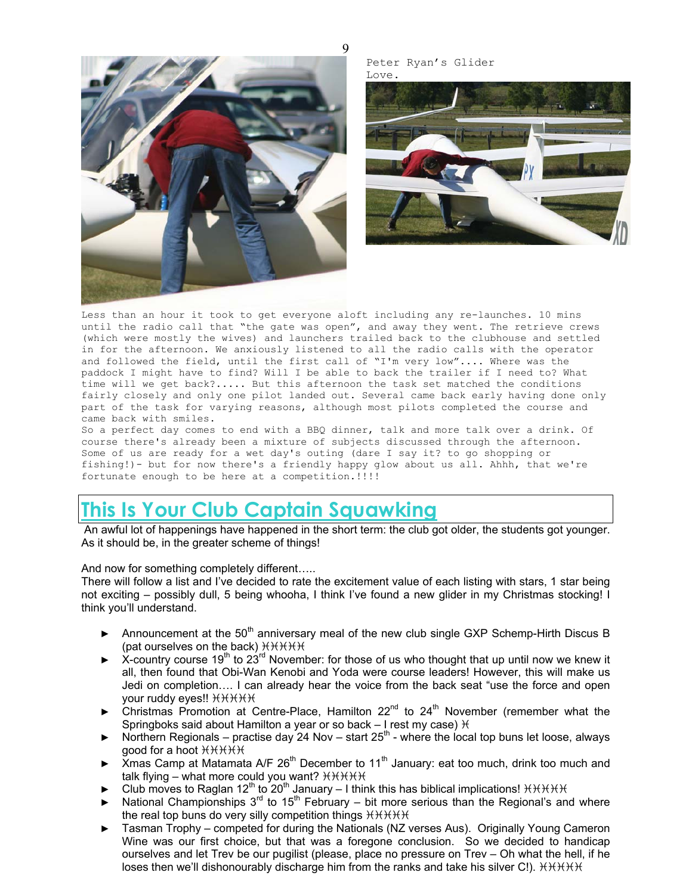$\mathbf Q$ 



Peter Ryan's Glider Love.



Less than an hour it took to get everyone aloft including any re-launches. 10 mins until the radio call that "the gate was open", and away they went. The retrieve crews (which were mostly the wives) and launchers trailed back to the clubhouse and settled in for the afternoon. We anxiously listened to all the radio calls with the operator and followed the field, until the first call of "I'm very low".... Where was the paddock I might have to find? Will I be able to back the trailer if I need to? What time will we get back?..... But this afternoon the task set matched the conditions fairly closely and only one pilot landed out. Several came back early having done only part of the task for varying reasons, although most pilots completed the course and came back with smiles.

So a perfect day comes to end with a BBQ dinner, talk and more talk over a drink. Of course there's already been a mixture of subjects discussed through the afternoon. Some of us are ready for a wet day's outing (dare I say it? to go shopping or fishing!)- but for now there's a friendly happy glow about us all. Ahhh, that we're fortunate enough to be here at a competition.!!!!

## **This Is Your Club Captain Squawking**

An awful lot of happenings have happened in the short term: the club got older, the students got younger. As it should be, in the greater scheme of things!

And now for something completely different…..

There will follow a list and I've decided to rate the excitement value of each listing with stars, 1 star being not exciting – possibly dull, 5 being whooha, I think I've found a new glider in my Christmas stocking! I think you'll understand.

- Announcement at the  $50<sup>th</sup>$  anniversary meal of the new club single GXP Schemp-Hirth Discus B (pat ourselves on the back)  $H H H$
- ► X-country course 19<sup>th</sup> to 23<sup>rd</sup> November: for those of us who thought that up until now we knew it all, then found that Obi-Wan Kenobi and Yoda were course leaders! However, this will make us Jedi on completion…. I can already hear the voice from the back seat "use the force and open your ruddy eyes!!  $H H H H$
- Christmas Promotion at Centre-Place, Hamilton  $22^{nd}$  to  $24^{th}$  November (remember what the Springboks said about Hamilton a year or so back  $-1$  rest my case)  $H$
- ► Northern Regionals practise day 24 Nov start  $25<sup>th</sup>$  where the local top buns let loose, always good for a hoot  $H H H H$
- ► Xmas Camp at Matamata A/F 26<sup>th</sup> December to 11<sup>th</sup> January: eat too much, drink too much and talk flying – what more could you want?  $H H H H$
- ► Club moves to Raglan 12<sup>th</sup> to 20<sup>th</sup> January I think this has biblical implications!  $HHHHH$
- National Championships  $3^{rd}$  to 15<sup>th</sup> February bit more serious than the Regional's and where the real top buns do very silly competition things  $HHHH$
- Tasman Trophy competed for during the Nationals (NZ verses Aus). Originally Young Cameron Wine was our first choice, but that was a foregone conclusion. So we decided to handicap ourselves and let Trev be our pugilist (please, place no pressure on Trev – Oh what the hell, if he loses then we'll dishonourably discharge him from the ranks and take his silver C!).  $H H H H$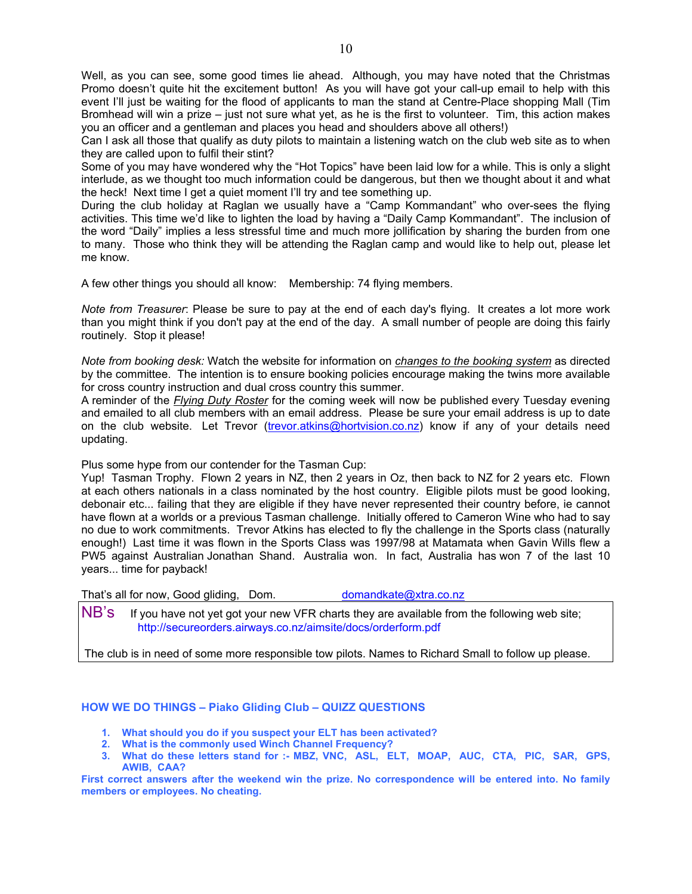Well, as you can see, some good times lie ahead. Although, you may have noted that the Christmas Promo doesn't quite hit the excitement button! As you will have got your call-up email to help with this event I'll just be waiting for the flood of applicants to man the stand at Centre-Place shopping Mall (Tim Bromhead will win a prize – just not sure what yet, as he is the first to volunteer. Tim, this action makes you an officer and a gentleman and places you head and shoulders above all others!)

Can I ask all those that qualify as duty pilots to maintain a listening watch on the club web site as to when they are called upon to fulfil their stint?

Some of you may have wondered why the "Hot Topics" have been laid low for a while. This is only a slight interlude, as we thought too much information could be dangerous, but then we thought about it and what the heck! Next time I get a quiet moment I'll try and tee something up.

During the club holiday at Raglan we usually have a "Camp Kommandant" who over-sees the flying activities. This time we'd like to lighten the load by having a "Daily Camp Kommandant". The inclusion of the word "Daily" implies a less stressful time and much more jollification by sharing the burden from one to many. Those who think they will be attending the Raglan camp and would like to help out, please let me know.

A few other things you should all know: Membership: 74 flying members.

*Note from Treasurer*: Please be sure to pay at the end of each day's flying. It creates a lot more work than you might think if you don't pay at the end of the day. A small number of people are doing this fairly routinely. Stop it please!

*Note from booking desk:* Watch the website for information on *changes to the booking system* as directed by the committee. The intention is to ensure booking policies encourage making the twins more available for cross country instruction and dual cross country this summer.

A reminder of the *Flying Duty Roster* for the coming week will now be published every Tuesday evening and emailed to all club members with an email address. Please be sure your email address is up to date on the club website. Let Trevor (trevor.atkins@hortvision.co.nz) know if any of your details need updating.

Plus some hype from our contender for the Tasman Cup:

Yup! Tasman Trophy. Flown 2 years in NZ, then 2 years in Oz, then back to NZ for 2 years etc. Flown at each others nationals in a class nominated by the host country. Eligible pilots must be good looking, debonair etc... failing that they are eligible if they have never represented their country before, ie cannot have flown at a worlds or a previous Tasman challenge. Initially offered to Cameron Wine who had to say no due to work commitments. Trevor Atkins has elected to fly the challenge in the Sports class (naturally enough!) Last time it was flown in the Sports Class was 1997/98 at Matamata when Gavin Wills flew a PW5 against Australian Jonathan Shand. Australia won. In fact, Australia has won 7 of the last 10 years... time for payback!

That's all for now, Good gliding, Dom. domandkate@xtra.co.nz

NB's If you have not yet got your new VFR charts they are available from the following web site; http://secureorders.airways.co.nz/aimsite/docs/orderform.pdf

The club is in need of some more responsible tow pilots. Names to Richard Small to follow up please.

#### **HOW WE DO THINGS – Piako Gliding Club – QUIZZ QUESTIONS**

- **1. What should you do if you suspect your ELT has been activated?**
- **2. What is the commonly used Winch Channel Frequency?**
- **3. What do these letters stand for :- MBZ, VNC, ASL, ELT, MOAP, AUC, CTA, PIC, SAR, GPS, AWIB, CAA?**

**First correct answers after the weekend win the prize. No correspondence will be entered into. No family members or employees. No cheating.**